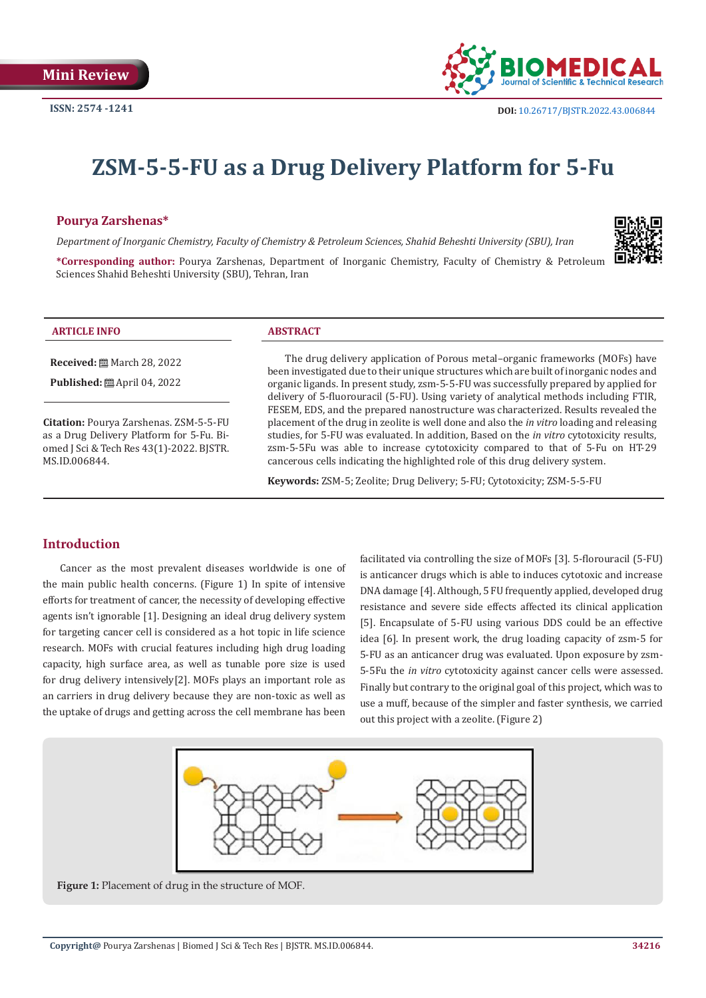

# **ZSM-5-5-FU as a Drug Delivery Platform for 5-Fu**

## **Pourya Zarshenas\***

*Department of Inorganic Chemistry, Faculty of Chemistry & Petroleum Sciences, Shahid Beheshti University (SBU), Iran*



**\*Corresponding author:** Pourya Zarshenas, Department of Inorganic Chemistry, Faculty of Chemistry & Petroleum Sciences Shahid Beheshti University (SBU), Tehran, Iran

#### **ARTICLE INFO ABSTRACT**

**Received:** March 28, 2022

**Published:** ■ April 04, 2022

**Citation:** Pourya Zarshenas. ZSM-5-5-FU as a Drug Delivery Platform for 5-Fu. Biomed J Sci & Tech Res 43(1)-2022. BJSTR. MS.ID.006844.

The drug delivery application of Porous metal–organic frameworks (MOFs) have been investigated due to their unique structures which are built of inorganic nodes and organic ligands. In present study, zsm-5-5-FU was successfully prepared by applied for delivery of 5-fluorouracil (5-FU). Using variety of analytical methods including FTIR, FESEM, EDS, and the prepared nanostructure was characterized. Results revealed the placement of the drug in zeolite is well done and also the *in vitro* loading and releasing studies, for 5-FU was evaluated. In addition, Based on the *in vitro* cytotoxicity results, zsm-5-5Fu was able to increase cytotoxicity compared to that of 5-Fu on HT-29 cancerous cells indicating the highlighted role of this drug delivery system.

**Keywords:** ZSM-5; Zeolite; Drug Delivery; 5-FU; Cytotoxicity; ZSM-5-5-FU

# **Introduction**

Cancer as the most prevalent diseases worldwide is one of the main public health concerns. (Figure 1) In spite of intensive efforts for treatment of cancer, the necessity of developing effective agents isn't ignorable [1]. Designing an ideal drug delivery system for targeting cancer cell is considered as a hot topic in life science research. MOFs with crucial features including high drug loading capacity, high surface area, as well as tunable pore size is used for drug delivery intensively[2]. MOFs plays an important role as an carriers in drug delivery because they are non-toxic as well as the uptake of drugs and getting across the cell membrane has been

facilitated via controlling the size of MOFs [3]. 5-florouracil (5-FU) is anticancer drugs which is able to induces cytotoxic and increase DNA damage [4]. Although, 5 FU frequently applied, developed drug resistance and severe side effects affected its clinical application [5]. Encapsulate of 5-FU using various DDS could be an effective idea [6]. In present work, the drug loading capacity of zsm-5 for 5-FU as an anticancer drug was evaluated. Upon exposure by zsm-5-5Fu the *in vitro* cytotoxicity against cancer cells were assessed. Finally but contrary to the original goal of this project, which was to use a muff, because of the simpler and faster synthesis, we carried out this project with a zeolite. (Figure 2)



**Figure 1:** Placement of drug in the structure of MOF.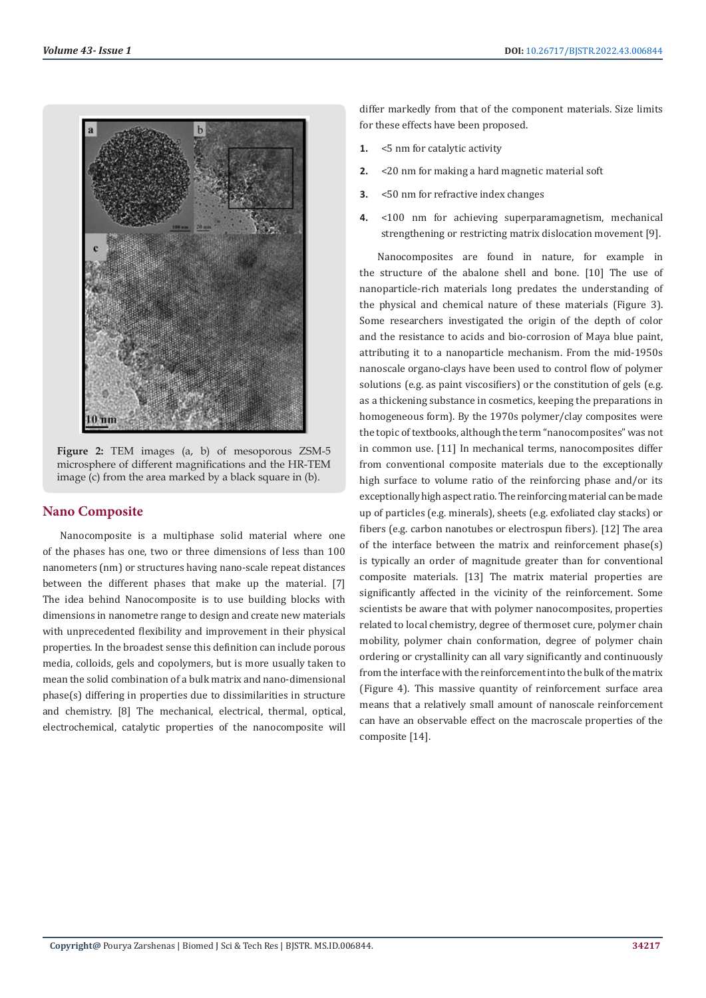

**Figure 2:** TEM images (a, b) of mesoporous ZSM-5 microsphere of different magnifications and the HR-TEM image (c) from the area marked by a black square in (b).

# **Nano Composite**

Nanocomposite is a multiphase solid material where one of the phases has one, two or three dimensions of less than 100 nanometers (nm) or structures having nano-scale repeat distances between the different phases that make up the material. [7] The idea behind Nanocomposite is to use building blocks with dimensions in nanometre range to design and create new materials with unprecedented flexibility and improvement in their physical properties. In the broadest sense this definition can include porous media, colloids, gels and copolymers, but is more usually taken to mean the solid combination of a bulk matrix and nano-dimensional phase(s) differing in properties due to dissimilarities in structure and chemistry. [8] The mechanical, electrical, thermal, optical, electrochemical, catalytic properties of the nanocomposite will

differ markedly from that of the component materials. Size limits for these effects have been proposed.

- **1.** <5 nm for catalytic activity
- **2.** <20 nm for making a hard magnetic material soft
- **3.** <50 nm for refractive index changes
- **4.** <100 nm for achieving superparamagnetism, mechanical strengthening or restricting matrix dislocation movement [9].

Nanocomposites are found in nature, for example in the structure of the abalone shell and bone. [10] The use of nanoparticle-rich materials long predates the understanding of the physical and chemical nature of these materials (Figure 3). Some researchers investigated the origin of the depth of color and the resistance to acids and bio-corrosion of Maya blue paint, attributing it to a nanoparticle mechanism. From the mid-1950s nanoscale organo-clays have been used to control flow of polymer solutions (e.g. as paint viscosifiers) or the constitution of gels (e.g. as a thickening substance in cosmetics, keeping the preparations in homogeneous form). By the 1970s polymer/clay composites were the topic of textbooks, although the term "nanocomposites" was not in common use. [11] In mechanical terms, nanocomposites differ from conventional composite materials due to the exceptionally high surface to volume ratio of the reinforcing phase and/or its exceptionally high aspect ratio. The reinforcing material can be made up of particles (e.g. minerals), sheets (e.g. exfoliated clay stacks) or fibers (e.g. carbon nanotubes or electrospun fibers). [12] The area of the interface between the matrix and reinforcement phase(s) is typically an order of magnitude greater than for conventional composite materials. [13] The matrix material properties are significantly affected in the vicinity of the reinforcement. Some scientists be aware that with polymer nanocomposites, properties related to local chemistry, degree of thermoset cure, polymer chain mobility, polymer chain conformation, degree of polymer chain ordering or crystallinity can all vary significantly and continuously from the interface with the reinforcement into the bulk of the matrix (Figure 4). This massive quantity of reinforcement surface area means that a relatively small amount of nanoscale reinforcement can have an observable effect on the macroscale properties of the composite [14].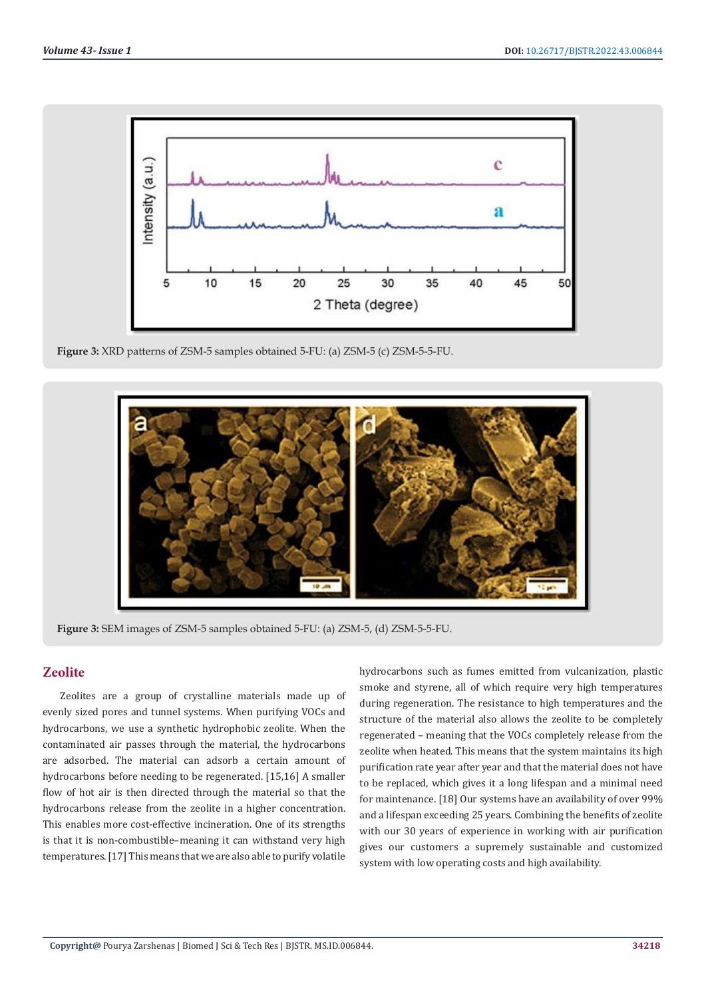

**Figure 3:** XRD patterns of ZSM-5 samples obtained 5-FU: (a) ZSM-5 (c) ZSM-5-5-FU.



**Figure 3:** SEM images of ZSM-5 samples obtained 5-FU: (a) ZSM-5, (d) ZSM-5-5-FU.

# **Zeolite**

Zeolites are a group of crystalline materials made up of evenly sized pores and tunnel systems. When purifying VOCs and hydrocarbons, we use a synthetic hydrophobic zeolite. When the contaminated air passes through the material, the hydrocarbons are adsorbed. The material can adsorb a certain amount of hydrocarbons before needing to be regenerated. [15,16] A smaller flow of hot air is then directed through the material so that the hydrocarbons release from the zeolite in a higher concentration. This enables more cost-effective incineration. One of its strengths is that it is non-combustible–meaning it can withstand very high temperatures. [17] This means that we are also able to purify volatile hydrocarbons such as fumes emitted from vulcanization, plastic smoke and styrene, all of which require very high temperatures during regeneration. The resistance to high temperatures and the structure of the material also allows the zeolite to be completely regenerated – meaning that the VOCs completely release from the zeolite when heated. This means that the system maintains its high purification rate year after year and that the material does not have to be replaced, which gives it a long lifespan and a minimal need for maintenance. [18] Our systems have an availability of over 99% and a lifespan exceeding 25 years. Combining the benefits of zeolite with our 30 years of experience in working with air purification gives our customers a supremely sustainable and customized system with low operating costs and high availability.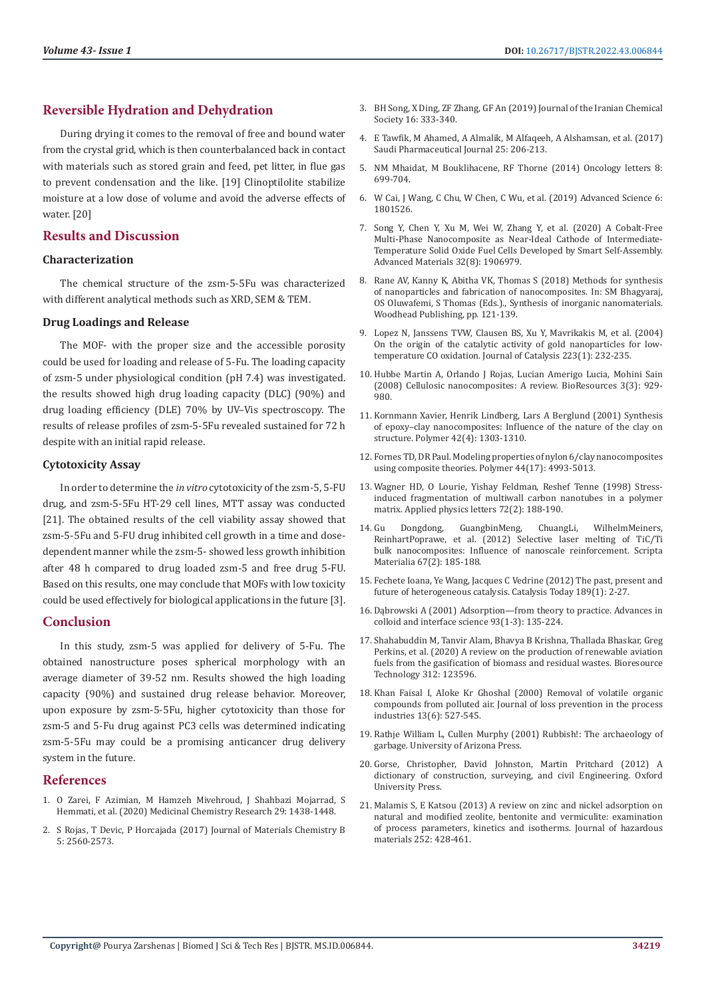# **Reversible Hydration and Dehydration**

During drying it comes to the removal of free and bound water from the crystal grid, which is then counterbalanced back in contact with materials such as stored grain and feed, pet litter, in flue gas to prevent condensation and the like. [19] Clinoptilolite stabilize moisture at a low dose of volume and avoid the adverse effects of water. [20]

# **Results and Discussion**

### **Characterization**

The chemical structure of the zsm-5-5Fu was characterized with different analytical methods such as XRD, SEM & TEM.

#### **Drug Loadings and Release**

The MOF- with the proper size and the accessible porosity could be used for loading and release of 5-Fu. The loading capacity of zsm-5 under physiological condition (pH 7.4) was investigated. the results showed high drug loading capacity (DLC) (90%) and drug loading efficiency (DLE) 70% by UV–Vis spectroscopy. The results of release profiles of zsm-5-5Fu revealed sustained for 72 h despite with an initial rapid release.

#### **Cytotoxicity Assay**

In order to determine the *in vitro* cytotoxicity of the zsm-5, 5-FU drug, and zsm-5-5Fu HT-29 cell lines, MTT assay was conducted [21]. The obtained results of the cell viability assay showed that zsm-5-5Fu and 5-FU drug inhibited cell growth in a time and dosedependent manner while the zsm-5- showed less growth inhibition after 48 h compared to drug loaded zsm-5 and free drug 5-FU. Based on this results, one may conclude that MOFs with low toxicity could be used effectively for biological applications in the future [3].

### **Conclusion**

In this study, zsm-5 was applied for delivery of 5-Fu. The obtained nanostructure poses spherical morphology with an average diameter of 39-52 nm. Results showed the high loading capacity (90%) and sustained drug release behavior. Moreover, upon exposure by zsm-5-5Fu, higher cytotoxicity than those for zsm-5 and 5-Fu drug against PC3 cells was determined indicating zsm-5-5Fu may could be a promising anticancer drug delivery system in the future.

### **References**

- 1. O Zarei, F Azimian, M Hamzeh Mivehroud, J Shahbazi Mojarrad, S Hemmati, et al. (2020) Medicinal Chemistry Research 29: 1438-1448.
- 2. S Rojas, T Devic, P Horcajada (2017) Journal of Materials Chemistry B 5: 2560-2573.
- 3. BH Song, X Ding, ZF Zhang, GF An (2019) Journal of the Iranian Chemical Society 16: 333-340.
- 4. E Tawfik, M Ahamed, A Almalik, M Alfaqeeh, A Alshamsan, et al. (2017) Saudi Pharmaceutical Journal 25: 206-213.
- 5. NM Mhaidat, M Bouklihacene, RF Thorne (2014) Oncology letters 8: 699-704.
- 6. W Cai, J Wang, C Chu, W Chen, C Wu, et al. (2019) Advanced Science 6: 1801526.
- 7. [Song Y, Chen Y, Xu M, Wei W, Zhang Y, et al. \(2020\) A Cobalt-Free](https://www.researchgate.net/publication/338612825_A_Cobalt-Free_Multi-Phase_Nanocomposite_as_Near-Ideal_Cathode_of_Intermediate-Temperature_Solid_Oxide_Fuel_Cells_Developed_by_Smart_Self-Assembly) [Multi-Phase Nanocomposite as Near-Ideal Cathode of Intermediate-](https://www.researchgate.net/publication/338612825_A_Cobalt-Free_Multi-Phase_Nanocomposite_as_Near-Ideal_Cathode_of_Intermediate-Temperature_Solid_Oxide_Fuel_Cells_Developed_by_Smart_Self-Assembly)[Temperature Solid Oxide Fuel Cells Developed by Smart Self-Assembly.](https://www.researchgate.net/publication/338612825_A_Cobalt-Free_Multi-Phase_Nanocomposite_as_Near-Ideal_Cathode_of_Intermediate-Temperature_Solid_Oxide_Fuel_Cells_Developed_by_Smart_Self-Assembly) [Advanced Materials 32\(8\): 1906979.](https://www.researchgate.net/publication/338612825_A_Cobalt-Free_Multi-Phase_Nanocomposite_as_Near-Ideal_Cathode_of_Intermediate-Temperature_Solid_Oxide_Fuel_Cells_Developed_by_Smart_Self-Assembly)
- 8. [Rane AV, Kanny K, Abitha VK, Thomas S \(2018\) Methods for synthesis](https://www.sciencedirect.com/science/article/pii/B9780081019757000051) [of nanoparticles and fabrication of nanocomposites. In: SM Bhagyaraj,](https://www.sciencedirect.com/science/article/pii/B9780081019757000051) [OS Oluwafemi, S Thomas \(Eds.\)., Synthesis of inorganic nanomaterials.](https://www.sciencedirect.com/science/article/pii/B9780081019757000051) [Woodhead Publishing, pp. 121-139.](https://www.sciencedirect.com/science/article/pii/B9780081019757000051)
- 9. [Lopez N, Janssens TVW, Clausen BS, Xu Y, Mavrikakis M, et al. \(2004\)](https://www.sciencedirect.com/science/article/abs/pii/S0021951704000053) [On the origin of the catalytic activity of gold nanoparticles for low](https://www.sciencedirect.com/science/article/abs/pii/S0021951704000053)[temperature CO oxidation. Journal of Catalysis 223\(1\): 232-235.](https://www.sciencedirect.com/science/article/abs/pii/S0021951704000053)
- 10. [Hubbe Martin A, Orlando J Rojas, Lucian Amerigo Lucia, Mohini Sain](https://www.researchgate.net/publication/26526522_Cellulosic_nanocomposites_A_review) [\(2008\) Cellulosic nanocomposites: A review. BioResources 3\(3\): 929-](https://www.researchgate.net/publication/26526522_Cellulosic_nanocomposites_A_review) [980.](https://www.researchgate.net/publication/26526522_Cellulosic_nanocomposites_A_review)
- 11. [Kornmann Xavier, Henrik Lindberg, Lars A Berglund \(2001\) Synthesis](https://www.sciencedirect.com/science/article/abs/pii/S0032386100003463) [of epoxy–clay nanocomposites: Influence of the nature of the clay on](https://www.sciencedirect.com/science/article/abs/pii/S0032386100003463) [structure. Polymer 42\(4\): 1303-1310.](https://www.sciencedirect.com/science/article/abs/pii/S0032386100003463)
- 12. [Fornes TD, DR Paul. Modeling properties of nylon 6/clay nanocomposites](https://www.sciencedirect.com/science/article/abs/pii/S0032386103004713) [using composite theories. Polymer 44\(17\): 4993-5013.](https://www.sciencedirect.com/science/article/abs/pii/S0032386103004713)
- 13. [Wagner HD, O Lourie, Yishay Feldman, Reshef Tenne \(1998\) Stress](file:///D:/Biomed%20pdfs/BJSTR.MS.ID.006844/BJSTR-D-22-MRW-425_W/BJSTR-D-22-MRW-425_W/researchgate.net/publication/234930645_Stress-Induced_Fragmentation_of_Multi-Walled_Carbon_Nanotubes_in_a_Polymer_Matrix)[induced fragmentation of multiwall carbon nanotubes in a polymer](file:///D:/Biomed%20pdfs/BJSTR.MS.ID.006844/BJSTR-D-22-MRW-425_W/BJSTR-D-22-MRW-425_W/researchgate.net/publication/234930645_Stress-Induced_Fragmentation_of_Multi-Walled_Carbon_Nanotubes_in_a_Polymer_Matrix) [matrix. Applied physics letters 72\(2\): 188-190.](file:///D:/Biomed%20pdfs/BJSTR.MS.ID.006844/BJSTR-D-22-MRW-425_W/BJSTR-D-22-MRW-425_W/researchgate.net/publication/234930645_Stress-Induced_Fragmentation_of_Multi-Walled_Carbon_Nanotubes_in_a_Polymer_Matrix)
- 14. [Gu Dongdong, GuangbinMeng, ChuangLi, WilhelmMeiners,](https://www.sciencedirect.com/science/article/abs/pii/S1359646212002540) [ReinhartPoprawe, et al. \(2012\) Selective laser melting of TiC/Ti](https://www.sciencedirect.com/science/article/abs/pii/S1359646212002540) [bulk nanocomposites: Influence of nanoscale reinforcement. Scripta](https://www.sciencedirect.com/science/article/abs/pii/S1359646212002540) [Materialia 67\(2\): 185-188.](https://www.sciencedirect.com/science/article/abs/pii/S1359646212002540)
- 15. Fechete Ioana, Ye Wang, Jacques C Vedrine (2012) The past, present and future of heterogeneous catalysis. Catalysis Today 189(1): 2-27.
- 16. [Dąbrowski A \(2001\) Adsorption—from theory to practice. Advances in](https://www.sciencedirect.com/science/article/abs/pii/S0001868600000828) [colloid and interface science 93\(1-3\): 135-224.](https://www.sciencedirect.com/science/article/abs/pii/S0001868600000828)
- 17. [Shahabuddin M, Tanvir Alam, Bhavya B Krishna, Thallada Bhaskar, Greg](file:///D:/Biomed%20pdfs/BJSTR.MS.ID.006844/BJSTR-D-22-MRW-425_W/BJSTR-D-22-MRW-425_W/sciencedirect.com/science/article/pii/S0960852420308683) [Perkins, et al. \(2020\) A review on the production of renewable aviation](file:///D:/Biomed%20pdfs/BJSTR.MS.ID.006844/BJSTR-D-22-MRW-425_W/BJSTR-D-22-MRW-425_W/sciencedirect.com/science/article/pii/S0960852420308683) [fuels from the gasification of biomass and residual wastes. Bioresource](file:///D:/Biomed%20pdfs/BJSTR.MS.ID.006844/BJSTR-D-22-MRW-425_W/BJSTR-D-22-MRW-425_W/sciencedirect.com/science/article/pii/S0960852420308683) [Technology 312: 123596.](file:///D:/Biomed%20pdfs/BJSTR.MS.ID.006844/BJSTR-D-22-MRW-425_W/BJSTR-D-22-MRW-425_W/sciencedirect.com/science/article/pii/S0960852420308683)
- 18. [Khan Faisal I, Aloke Kr Ghoshal \(2000\) Removal of volatile organic](https://www.sciencedirect.com/science/article/abs/pii/S0950423000000073) [compounds from polluted air. Journal of loss prevention in the process](https://www.sciencedirect.com/science/article/abs/pii/S0950423000000073) [industries 13\(6\): 527-545.](https://www.sciencedirect.com/science/article/abs/pii/S0950423000000073)
- 19. Rathje William L, Cullen Murphy (2001) Rubbish!: The archaeology of garbage. University of Arizona Press.
- 20. Gorse, Christopher, David Johnston, Martin Pritchard (2012) A dictionary of construction, surveying, and civil Engineering. Oxford University Press.
- 21. [Malamis S, E Katsou \(2013\) A review on zinc and nickel adsorption on](https://www.sciencedirect.com/science/article/abs/pii/S0304389413002008) [natural and modified zeolite, bentonite and vermiculite: examination](https://www.sciencedirect.com/science/article/abs/pii/S0304389413002008) [of process parameters, kinetics and isotherms. Journal of hazardous](https://www.sciencedirect.com/science/article/abs/pii/S0304389413002008) [materials 252: 428-461.](https://www.sciencedirect.com/science/article/abs/pii/S0304389413002008)